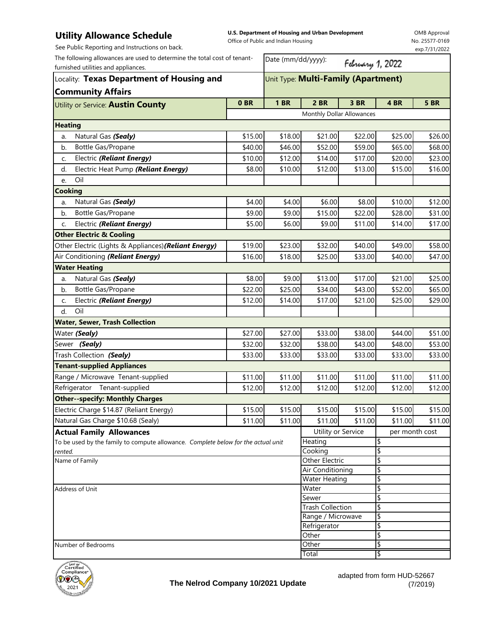## **Utility Allowance Schedule**

See Public Reporting and Instructions on back.

**U.S. Department of Housing and Urban Development**  Office of Public and Indian Housing

OMB Approval No. 25577-0169 exp.7/31/2022

| The following allowances are used to determine the total cost of tenant-          |                                     | Date (mm/dd/yyyy):<br>February 1, 2022 |                                                                                |         |                |             |  |
|-----------------------------------------------------------------------------------|-------------------------------------|----------------------------------------|--------------------------------------------------------------------------------|---------|----------------|-------------|--|
| furnished utilities and appliances.                                               |                                     |                                        |                                                                                |         |                |             |  |
| Locality: Texas Department of Housing and<br><b>Community Affairs</b>             | Unit Type: Multi-Family (Apartment) |                                        |                                                                                |         |                |             |  |
| Utility or Service: Austin County                                                 | 0 <sub>BR</sub>                     | <b>1 BR</b>                            | 2 BR                                                                           | 3 BR    | 4 BR           | <b>5 BR</b> |  |
|                                                                                   |                                     |                                        | Monthly Dollar Allowances                                                      |         |                |             |  |
| <b>Heating</b>                                                                    |                                     |                                        |                                                                                |         |                |             |  |
| Natural Gas (Sealy)<br>a.                                                         | \$15.00                             | \$18.00                                | \$21.00                                                                        | \$22.00 | \$25.00        | \$26.00     |  |
| Bottle Gas/Propane<br>b.                                                          | \$40.00                             | \$46.00                                | \$52.00                                                                        | \$59.00 | \$65.00        | \$68.00     |  |
| Electric (Reliant Energy)<br>C.                                                   | \$10.00                             | \$12.00                                | \$14.00                                                                        | \$17.00 | \$20.00        | \$23.00     |  |
| Electric Heat Pump (Reliant Energy)<br>d.                                         | \$8.00                              | \$10.00                                | \$12.00                                                                        | \$13.00 | \$15.00        | \$16.00     |  |
| Oil<br>e.                                                                         |                                     |                                        |                                                                                |         |                |             |  |
| <b>Cooking</b>                                                                    |                                     |                                        |                                                                                |         |                |             |  |
| Natural Gas (Sealy)<br>a.                                                         | \$4.00                              | \$4.00                                 | \$6.00                                                                         | \$8.00  | \$10.00        | \$12.00     |  |
| Bottle Gas/Propane<br>b.                                                          | \$9.00                              | \$9.00                                 | \$15.00                                                                        | \$22.00 | \$28.00        | \$31.00     |  |
| Electric (Reliant Energy)<br>C.                                                   | \$5.00                              | \$6.00                                 | \$9.00                                                                         | \$11.00 | \$14.00        | \$17.00     |  |
| <b>Other Electric &amp; Cooling</b>                                               |                                     |                                        |                                                                                |         |                |             |  |
| Other Electric (Lights & Appliances) (Reliant Energy)                             | \$19.00                             | \$23.00                                | \$32.00                                                                        | \$40.00 | \$49.00        | \$58.00     |  |
| Air Conditioning (Reliant Energy)                                                 | \$16.00                             | \$18.00                                | \$25.00                                                                        | \$33.00 | \$40.00        | \$47.00     |  |
| <b>Water Heating</b>                                                              |                                     |                                        |                                                                                |         |                |             |  |
| Natural Gas (Sealy)<br>a.                                                         | \$8.00                              | \$9.00                                 | \$13.00                                                                        | \$17.00 | \$21.00        | \$25.00     |  |
| Bottle Gas/Propane<br>b.                                                          | \$22.00                             | \$25.00                                | \$34.00                                                                        | \$43.00 | \$52.00        | \$65.00     |  |
| Electric (Reliant Energy)<br>C.                                                   | \$12.00                             | \$14.00                                | \$17.00                                                                        | \$21.00 | \$25.00        | \$29.00     |  |
| Oil<br>d.                                                                         |                                     |                                        |                                                                                |         |                |             |  |
| <b>Water, Sewer, Trash Collection</b>                                             |                                     |                                        |                                                                                |         |                |             |  |
| Water (Sealy)                                                                     | \$27.00                             | \$27.00                                | \$33.00                                                                        | \$38.00 | \$44.00        | \$51.00     |  |
|                                                                                   |                                     |                                        |                                                                                |         |                |             |  |
| Sewer (Sealy)                                                                     | \$32.00                             | \$32.00                                | \$38.00                                                                        | \$43.00 | \$48.00        | \$53.00     |  |
| Trash Collection (Sealy)                                                          | \$33.00                             | \$33.00                                | \$33.00                                                                        | \$33.00 | \$33.00        | \$33.00     |  |
| <b>Tenant-supplied Appliances</b>                                                 |                                     |                                        |                                                                                |         |                |             |  |
| Range / Microwave Tenant-supplied                                                 | \$11.00                             | \$11.00                                | \$11.00                                                                        | \$11.00 | \$11.00        | \$11.00     |  |
| Tenant-supplied<br>Refrigerator                                                   | \$12.00                             | \$12.00                                | \$12.00                                                                        | \$12.00 | \$12.00        | \$12.00     |  |
| <b>Other--specify: Monthly Charges</b>                                            |                                     |                                        |                                                                                |         |                |             |  |
| Electric Charge \$14.87 (Reliant Energy)                                          | \$15.00                             | \$15.00                                | \$15.00                                                                        | \$15.00 | \$15.00        | \$15.00     |  |
| Natural Gas Charge \$10.68 (Sealy)                                                | \$11.00                             | \$11.00                                | \$11.00                                                                        | \$11.00 | \$11.00        | \$11.00     |  |
| <b>Actual Family Allowances</b>                                                   |                                     |                                        | Utility or Service                                                             |         | per month cost |             |  |
| To be used by the family to compute allowance. Complete below for the actual unit |                                     |                                        | Heating<br>Cooking                                                             |         | \$<br>\$       |             |  |
| rented.<br>Name of Family                                                         | Other Electric                      |                                        |                                                                                | \$      |                |             |  |
|                                                                                   |                                     |                                        | Air Conditioning                                                               |         | \$             |             |  |
|                                                                                   |                                     |                                        | <b>Water Heating</b>                                                           |         | \$             |             |  |
| Address of Unit                                                                   |                                     |                                        | \$<br>Water<br>\$                                                              |         |                |             |  |
|                                                                                   |                                     |                                        |                                                                                | Sewer   |                |             |  |
|                                                                                   |                                     |                                        | \$<br><b>Trash Collection</b><br>\$<br>Range / Microwave<br>\$<br>Refrigerator |         |                |             |  |
|                                                                                   |                                     |                                        |                                                                                |         |                |             |  |
|                                                                                   |                                     | Other                                  |                                                                                | \$      |                |             |  |
| Number of Bedrooms                                                                |                                     |                                        | Other                                                                          |         | \$             |             |  |
|                                                                                   |                                     |                                        | Total                                                                          |         | \$             |             |  |